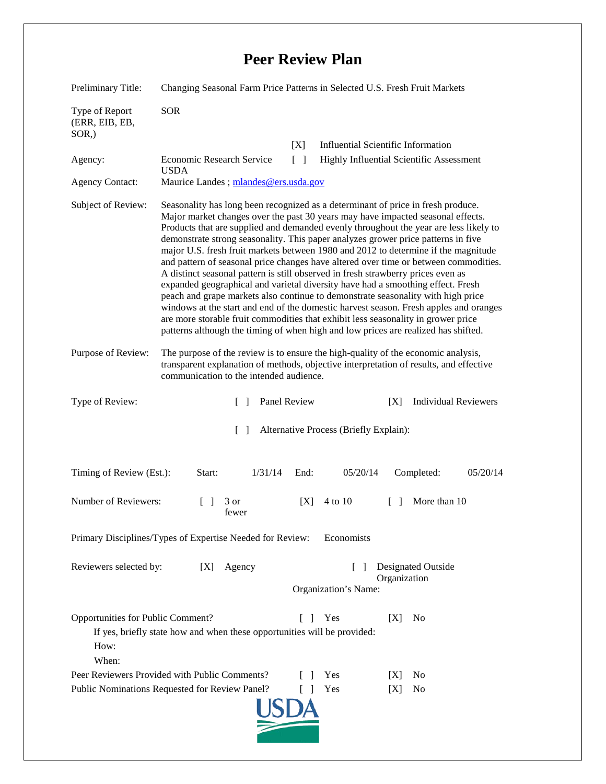## **Peer Review Plan**

| Preliminary Title:                                                                                                                                                       | Changing Seasonal Farm Price Patterns in Selected U.S. Fresh Fruit Markets                                                                                                                                                                                                                                                                                                                                                                                                                                                                                                                                                                                                                                                                                                                                                                                                                                                                                                                                                                                     |                                                            |
|--------------------------------------------------------------------------------------------------------------------------------------------------------------------------|----------------------------------------------------------------------------------------------------------------------------------------------------------------------------------------------------------------------------------------------------------------------------------------------------------------------------------------------------------------------------------------------------------------------------------------------------------------------------------------------------------------------------------------------------------------------------------------------------------------------------------------------------------------------------------------------------------------------------------------------------------------------------------------------------------------------------------------------------------------------------------------------------------------------------------------------------------------------------------------------------------------------------------------------------------------|------------------------------------------------------------|
| Type of Report<br>(ERR, EIB, EB,<br>SOR,)                                                                                                                                | <b>SOR</b>                                                                                                                                                                                                                                                                                                                                                                                                                                                                                                                                                                                                                                                                                                                                                                                                                                                                                                                                                                                                                                                     |                                                            |
|                                                                                                                                                                          |                                                                                                                                                                                                                                                                                                                                                                                                                                                                                                                                                                                                                                                                                                                                                                                                                                                                                                                                                                                                                                                                | <b>Influential Scientific Information</b><br>[X]           |
| Agency:                                                                                                                                                                  | Economic Research Service<br><b>USDA</b>                                                                                                                                                                                                                                                                                                                                                                                                                                                                                                                                                                                                                                                                                                                                                                                                                                                                                                                                                                                                                       | Highly Influential Scientific Assessment<br>$\Box$         |
| <b>Agency Contact:</b>                                                                                                                                                   | Maurice Landes; mlandes@ers.usda.gov                                                                                                                                                                                                                                                                                                                                                                                                                                                                                                                                                                                                                                                                                                                                                                                                                                                                                                                                                                                                                           |                                                            |
| Subject of Review:                                                                                                                                                       | Seasonality has long been recognized as a determinant of price in fresh produce.<br>Major market changes over the past 30 years may have impacted seasonal effects.<br>Products that are supplied and demanded evenly throughout the year are less likely to<br>demonstrate strong seasonality. This paper analyzes grower price patterns in five<br>major U.S. fresh fruit markets between 1980 and 2012 to determine if the magnitude<br>and pattern of seasonal price changes have altered over time or between commodities.<br>A distinct seasonal pattern is still observed in fresh strawberry prices even as<br>expanded geographical and varietal diversity have had a smoothing effect. Fresh<br>peach and grape markets also continue to demonstrate seasonality with high price<br>windows at the start and end of the domestic harvest season. Fresh apples and oranges<br>are more storable fruit commodities that exhibit less seasonality in grower price<br>patterns although the timing of when high and low prices are realized has shifted. |                                                            |
| Purpose of Review:                                                                                                                                                       | The purpose of the review is to ensure the high-quality of the economic analysis,<br>transparent explanation of methods, objective interpretation of results, and effective<br>communication to the intended audience.                                                                                                                                                                                                                                                                                                                                                                                                                                                                                                                                                                                                                                                                                                                                                                                                                                         |                                                            |
| Type of Review:                                                                                                                                                          | Panel Review<br>$\Box$                                                                                                                                                                                                                                                                                                                                                                                                                                                                                                                                                                                                                                                                                                                                                                                                                                                                                                                                                                                                                                         | <b>Individual Reviewers</b><br>[X]                         |
| Alternative Process (Briefly Explain):<br>$\Box$                                                                                                                         |                                                                                                                                                                                                                                                                                                                                                                                                                                                                                                                                                                                                                                                                                                                                                                                                                                                                                                                                                                                                                                                                |                                                            |
| Timing of Review (Est.):                                                                                                                                                 | Start:<br>1/31/14                                                                                                                                                                                                                                                                                                                                                                                                                                                                                                                                                                                                                                                                                                                                                                                                                                                                                                                                                                                                                                              | 05/20/14<br>Completed:<br>End:<br>05/20/14                 |
| Number of Reviewers:                                                                                                                                                     | $\Box$<br>3 or<br>fewer                                                                                                                                                                                                                                                                                                                                                                                                                                                                                                                                                                                                                                                                                                                                                                                                                                                                                                                                                                                                                                        | More than 10<br>4 to 10<br>[X]<br>$\Box$                   |
| Economists<br>Primary Disciplines/Types of Expertise Needed for Review:                                                                                                  |                                                                                                                                                                                                                                                                                                                                                                                                                                                                                                                                                                                                                                                                                                                                                                                                                                                                                                                                                                                                                                                                |                                                            |
| Reviewers selected by:                                                                                                                                                   | Agency<br>[X]                                                                                                                                                                                                                                                                                                                                                                                                                                                                                                                                                                                                                                                                                                                                                                                                                                                                                                                                                                                                                                                  | Designated Outside<br>Organization<br>Organization's Name: |
| Opportunities for Public Comment?<br>Yes<br>[X]<br>N <sub>0</sub><br>$\Box$<br>If yes, briefly state how and when these opportunities will be provided:<br>How:<br>When: |                                                                                                                                                                                                                                                                                                                                                                                                                                                                                                                                                                                                                                                                                                                                                                                                                                                                                                                                                                                                                                                                |                                                            |
|                                                                                                                                                                          | Peer Reviewers Provided with Public Comments?                                                                                                                                                                                                                                                                                                                                                                                                                                                                                                                                                                                                                                                                                                                                                                                                                                                                                                                                                                                                                  | Yes<br>No<br> X                                            |
| Public Nominations Requested for Review Panel?<br>Yes<br>[X]<br>No                                                                                                       |                                                                                                                                                                                                                                                                                                                                                                                                                                                                                                                                                                                                                                                                                                                                                                                                                                                                                                                                                                                                                                                                |                                                            |